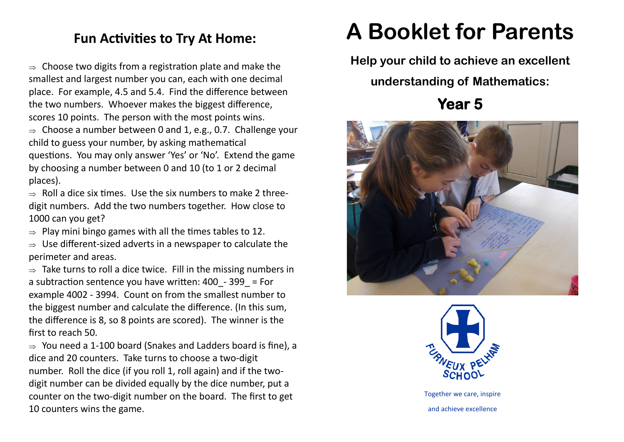## **Fun Activities to Try At Home:**

 $\Rightarrow$  Choose two digits from a registration plate and make the smallest and largest number you can, each with one decimal place. For example, 4.5 and 5.4. Find the difference between the two numbers. Whoever makes the biggest difference, scores 10 points. The person with the most points wins.

 $\Rightarrow$  Choose a number between 0 and 1, e.g., 0.7. Challenge your child to guess your number, by asking mathematical questions. You may only answer 'Yes' or 'No'. Extend the game by choosing a number between 0 and 10 (to 1 or 2 decimal places).

 $\Rightarrow$  Roll a dice six times. Use the six numbers to make 2 threedigit numbers. Add the two numbers together. How close to 1000 can you get?

 $\Rightarrow$  Play mini bingo games with all the times tables to 12.

 $\Rightarrow$  Use different-sized adverts in a newspaper to calculate the perimeter and areas.

 $\Rightarrow$  Take turns to roll a dice twice. Fill in the missing numbers in a subtraction sentence you have written:  $400 - 399$  = For example 4002 - 3994. Count on from the smallest number to the biggest number and calculate the difference. (In this sum, the difference is 8, so 8 points are scored). The winner is the first to reach 50.

 $\Rightarrow$  You need a 1-100 board (Snakes and Ladders board is fine), a dice and 20 counters. Take turns to choose a two-digit number. Roll the dice (if you roll 1, roll again) and if the twodigit number can be divided equally by the dice number, put a counter on the two-digit number on the board. The first to get 10 counters wins the game.

## **A Booklet for Parents**

**Help your child to achieve an excellent** 

**understanding of Mathematics:**

**Year 5** 





Together we care, inspire and achieve excellence